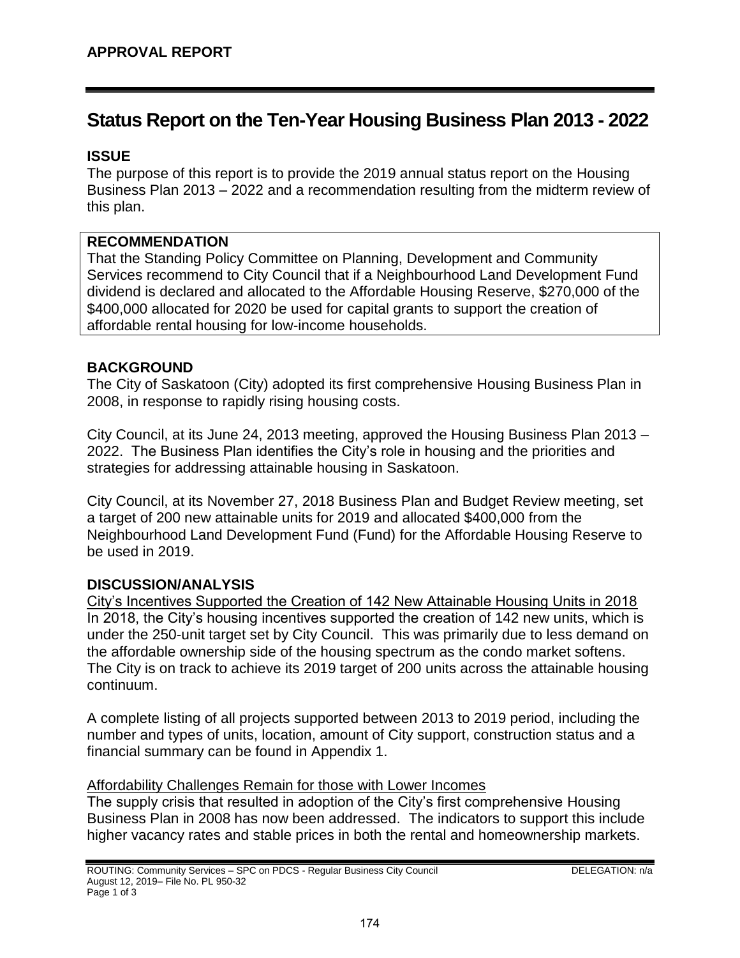# **Status Report on the Ten-Year Housing Business Plan 2013 - 2022**

# **ISSUE**

The purpose of this report is to provide the 2019 annual status report on the Housing Business Plan 2013 – 2022 and a recommendation resulting from the midterm review of this plan.

### **RECOMMENDATION**

That the Standing Policy Committee on Planning, Development and Community Services recommend to City Council that if a Neighbourhood Land Development Fund dividend is declared and allocated to the Affordable Housing Reserve, \$270,000 of the \$400,000 allocated for 2020 be used for capital grants to support the creation of affordable rental housing for low-income households.

### **BACKGROUND**

The City of Saskatoon (City) adopted its first comprehensive Housing Business Plan in 2008, in response to rapidly rising housing costs.

City Council, at its June 24, 2013 meeting, approved the Housing Business Plan 2013 – 2022. The Business Plan identifies the City's role in housing and the priorities and strategies for addressing attainable housing in Saskatoon.

City Council, at its November 27, 2018 Business Plan and Budget Review meeting, set a target of 200 new attainable units for 2019 and allocated \$400,000 from the Neighbourhood Land Development Fund (Fund) for the Affordable Housing Reserve to be used in 2019.

# **DISCUSSION/ANALYSIS**

City's Incentives Supported the Creation of 142 New Attainable Housing Units in 2018 In 2018, the City's housing incentives supported the creation of 142 new units, which is under the 250-unit target set by City Council. This was primarily due to less demand on the affordable ownership side of the housing spectrum as the condo market softens. The City is on track to achieve its 2019 target of 200 units across the attainable housing continuum.

A complete listing of all projects supported between 2013 to 2019 period, including the number and types of units, location, amount of City support, construction status and a financial summary can be found in Appendix 1.

#### Affordability Challenges Remain for those with Lower Incomes

The supply crisis that resulted in adoption of the City's first comprehensive Housing Business Plan in 2008 has now been addressed. The indicators to support this include higher vacancy rates and stable prices in both the rental and homeownership markets.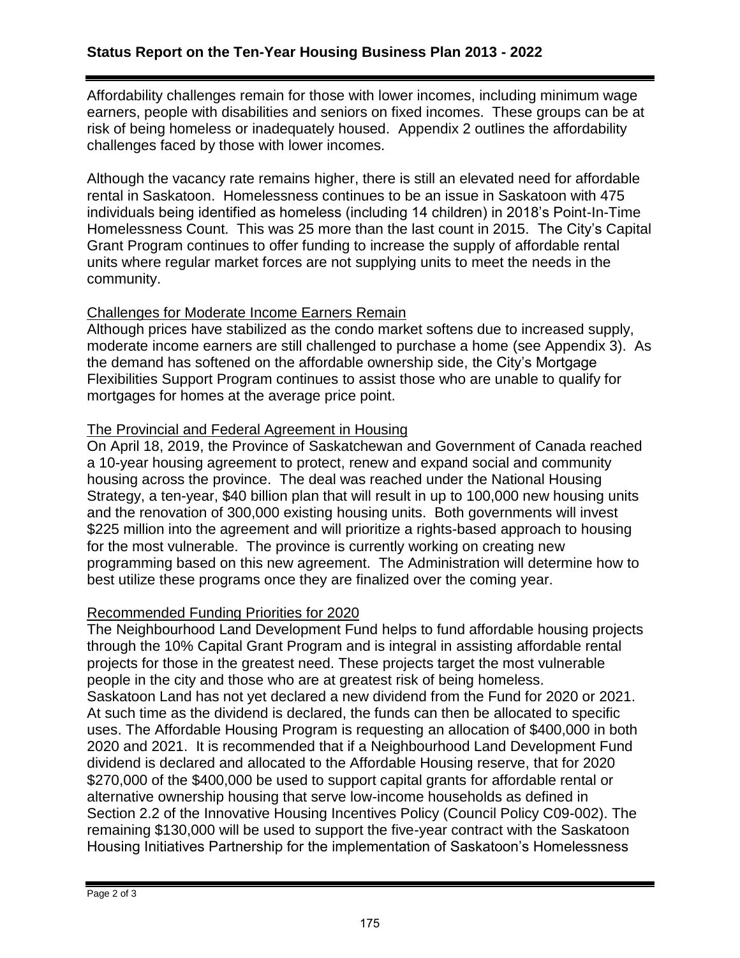Affordability challenges remain for those with lower incomes, including minimum wage earners, people with disabilities and seniors on fixed incomes. These groups can be at risk of being homeless or inadequately housed. Appendix 2 outlines the affordability challenges faced by those with lower incomes.

Although the vacancy rate remains higher, there is still an elevated need for affordable rental in Saskatoon. Homelessness continues to be an issue in Saskatoon with 475 individuals being identified as homeless (including 14 children) in 2018's Point-In-Time Homelessness Count. This was 25 more than the last count in 2015. The City's Capital Grant Program continues to offer funding to increase the supply of affordable rental units where regular market forces are not supplying units to meet the needs in the community.

### Challenges for Moderate Income Earners Remain

Although prices have stabilized as the condo market softens due to increased supply, moderate income earners are still challenged to purchase a home (see Appendix 3). As the demand has softened on the affordable ownership side, the City's Mortgage Flexibilities Support Program continues to assist those who are unable to qualify for mortgages for homes at the average price point.

### The Provincial and Federal Agreement in Housing

On April 18, 2019, the Province of Saskatchewan and Government of Canada reached a 10-year housing agreement to protect, renew and expand social and community housing across the province. The deal was reached under the National Housing Strategy, a ten-year, \$40 billion plan that will result in up to 100,000 new housing units and the renovation of 300,000 existing housing units. Both governments will invest \$225 million into the agreement and will prioritize a rights-based approach to housing for the most vulnerable. The province is currently working on creating new programming based on this new agreement. The Administration will determine how to best utilize these programs once they are finalized over the coming year.

# Recommended Funding Priorities for 2020

The Neighbourhood Land Development Fund helps to fund affordable housing projects through the 10% Capital Grant Program and is integral in assisting affordable rental projects for those in the greatest need. These projects target the most vulnerable people in the city and those who are at greatest risk of being homeless. Saskatoon Land has not yet declared a new dividend from the Fund for 2020 or 2021. At such time as the dividend is declared, the funds can then be allocated to specific uses. The Affordable Housing Program is requesting an allocation of \$400,000 in both 2020 and 2021. It is recommended that if a Neighbourhood Land Development Fund dividend is declared and allocated to the Affordable Housing reserve, that for 2020 \$270,000 of the \$400,000 be used to support capital grants for affordable rental or alternative ownership housing that serve low-income households as defined in Section 2.2 of the Innovative Housing Incentives Policy (Council Policy C09-002). The remaining \$130,000 will be used to support the five-year contract with the Saskatoon Housing Initiatives Partnership for the implementation of Saskatoon's Homelessness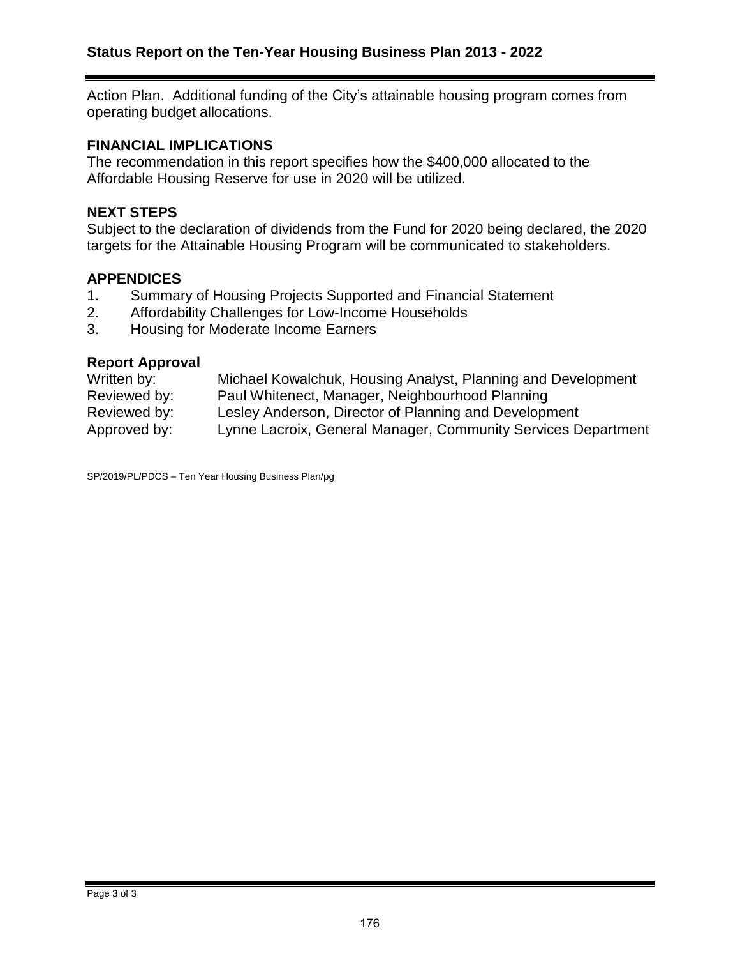Action Plan. Additional funding of the City's attainable housing program comes from operating budget allocations.

#### **FINANCIAL IMPLICATIONS**

The recommendation in this report specifies how the \$400,000 allocated to the Affordable Housing Reserve for use in 2020 will be utilized.

#### **NEXT STEPS**

Subject to the declaration of dividends from the Fund for 2020 being declared, the 2020 targets for the Attainable Housing Program will be communicated to stakeholders.

#### **APPENDICES**

- 1. Summary of Housing Projects Supported and Financial Statement
- 2. Affordability Challenges for Low-Income Households
- 3. Housing for Moderate Income Earners

#### **Report Approval**

| Written by:  | Michael Kowalchuk, Housing Analyst, Planning and Development  |
|--------------|---------------------------------------------------------------|
| Reviewed by: | Paul Whitenect, Manager, Neighbourhood Planning               |
| Reviewed by: | Lesley Anderson, Director of Planning and Development         |
| Approved by: | Lynne Lacroix, General Manager, Community Services Department |

SP/2019/PL/PDCS – Ten Year Housing Business Plan/pg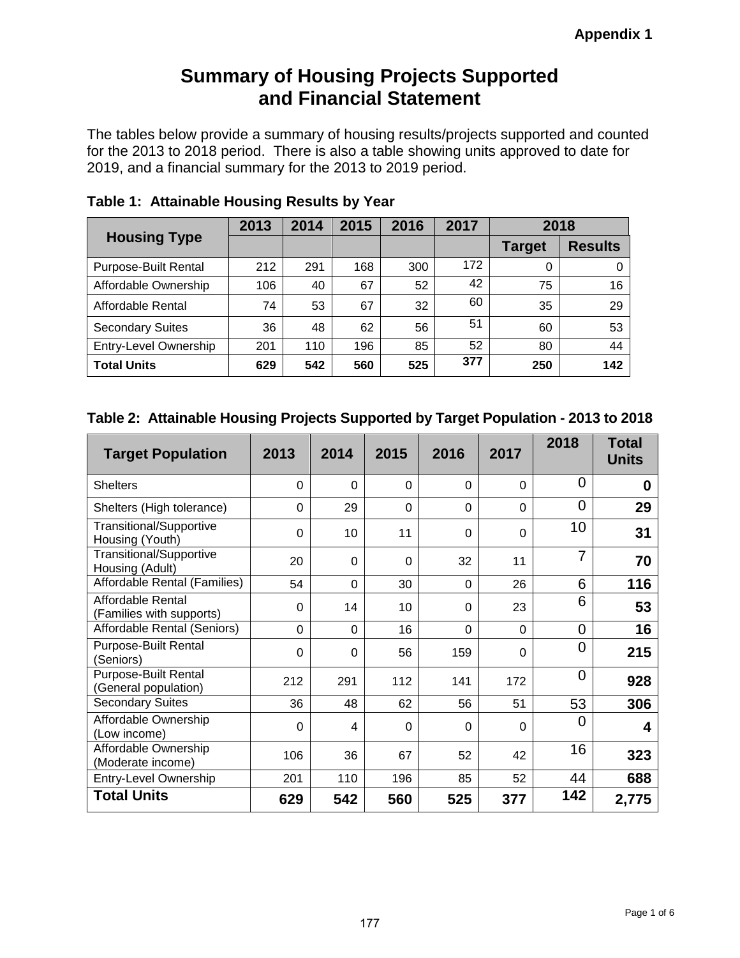# **Summary of Housing Projects Supported and Financial Statement**

The tables below provide a summary of housing results/projects supported and counted for the 2013 to 2018 period. There is also a table showing units approved to date for 2019, and a financial summary for the 2013 to 2019 period.

| <b>Housing Type</b>         | 2013 | 2014 | 2015 | 2016 | 2017 | 2018          |                |
|-----------------------------|------|------|------|------|------|---------------|----------------|
|                             |      |      |      |      |      | <b>Target</b> | <b>Results</b> |
| <b>Purpose-Built Rental</b> | 212  | 291  | 168  | 300  | 172  | 0             |                |
| Affordable Ownership        | 106  | 40   | 67   | 52   | 42   | 75            | 16             |
| Affordable Rental           | 74   | 53   | 67   | 32   | 60   | 35            | 29             |
| <b>Secondary Suites</b>     | 36   | 48   | 62   | 56   | 51   | 60            | 53             |
| Entry-Level Ownership       | 201  | 110  | 196  | 85   | 52   | 80            | 44             |
| <b>Total Units</b>          | 629  | 542  | 560  | 525  | 377  | 250           | 142            |

**Table 1: Attainable Housing Results by Year**

### **Table 2: Attainable Housing Projects Supported by Target Population - 2013 to 2018**

| <b>Target Population</b>                            | 2013        | 2014     | 2015           | 2016        | 2017           | 2018           | <b>Total</b><br><b>Units</b> |
|-----------------------------------------------------|-------------|----------|----------------|-------------|----------------|----------------|------------------------------|
| <b>Shelters</b>                                     | 0           | $\Omega$ | $\Omega$       | $\Omega$    | $\Omega$       | 0              | 0                            |
| Shelters (High tolerance)                           | $\Omega$    | 29       | $\Omega$       | $\Omega$    | $\Omega$       | 0              | 29                           |
| Transitional/Supportive<br>Housing (Youth)          | $\Omega$    | 10       | 11             | $\mathbf 0$ | 0              | 10             | 31                           |
| <b>Transitional/Supportive</b><br>Housing (Adult)   | 20          | $\Omega$ | $\overline{0}$ | 32          | 11             | $\overline{7}$ | 70                           |
| Affordable Rental (Families)                        | 54          | 0        | 30             | $\mathbf 0$ | 26             | 6              | 116                          |
| Affordable Rental<br>(Families with supports)       | $\Omega$    | 14       | 10             | $\Omega$    | 23             | 6              | 53                           |
| Affordable Rental (Seniors)                         | $\mathbf 0$ | 0        | 16             | $\mathbf 0$ | 0              | $\overline{0}$ | 16                           |
| <b>Purpose-Built Rental</b><br>(Seniors)            | $\Omega$    | $\Omega$ | 56             | 159         | 0              | 0              | 215                          |
| <b>Purpose-Built Rental</b><br>(General population) | 212         | 291      | 112            | 141         | 172            | $\overline{0}$ | 928                          |
| <b>Secondary Suites</b>                             | 36          | 48       | 62             | 56          | 51             | 53             | 306                          |
| Affordable Ownership<br>(Low income)                | $\Omega$    | 4        | 0              | $\Omega$    | $\overline{0}$ | 0              | 4                            |
| Affordable Ownership<br>(Moderate income)           | 106         | 36       | 67             | 52          | 42             | 16             | 323                          |
| Entry-Level Ownership                               | 201         | 110      | 196            | 85          | 52             | 44             | 688                          |
| <b>Total Units</b>                                  | 629         | 542      | 560            | 525         | 377            | 142            | 2,775                        |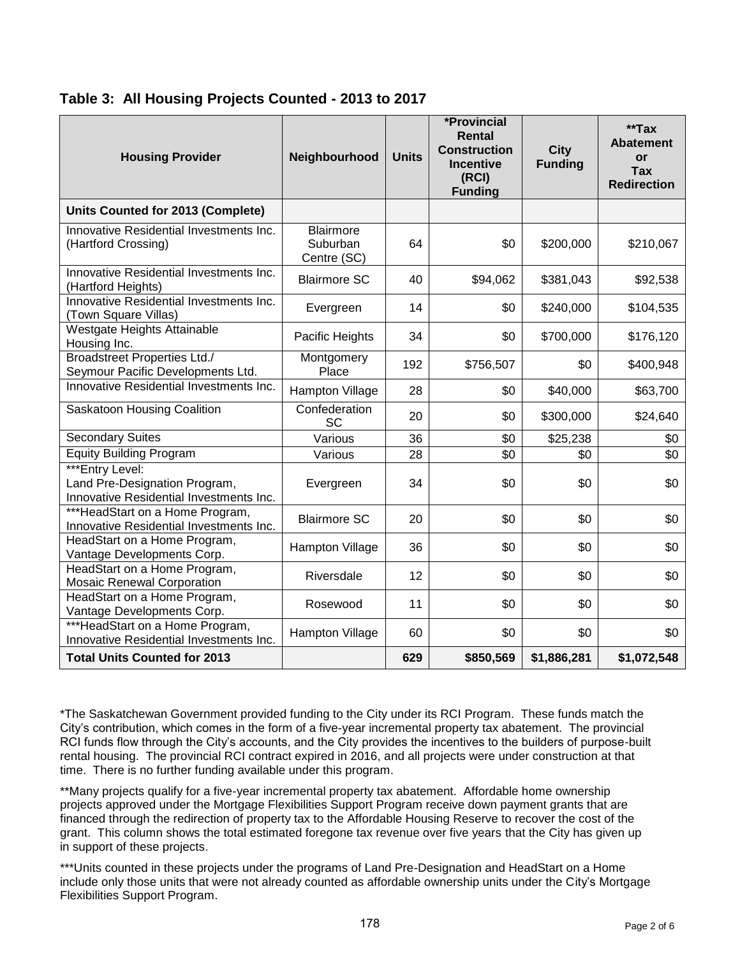| <b>Housing Provider</b>                                                                     | Neighbourhood                               | <b>Units</b> | *Provincial<br>Rental<br><b>Construction</b><br><b>Incentive</b><br>(RCI)<br><b>Funding</b> | <b>City</b><br><b>Funding</b> | $*$ Tax<br><b>Abatement</b><br>or<br><b>Tax</b><br><b>Redirection</b> |
|---------------------------------------------------------------------------------------------|---------------------------------------------|--------------|---------------------------------------------------------------------------------------------|-------------------------------|-----------------------------------------------------------------------|
| Units Counted for 2013 (Complete)                                                           |                                             |              |                                                                                             |                               |                                                                       |
| Innovative Residential Investments Inc.<br>(Hartford Crossing)                              | <b>Blairmore</b><br>Suburban<br>Centre (SC) | 64           | \$0                                                                                         | \$200,000                     | \$210,067                                                             |
| Innovative Residential Investments Inc.<br>(Hartford Heights)                               | <b>Blairmore SC</b>                         | 40           | \$94,062                                                                                    | \$381,043                     | \$92,538                                                              |
| Innovative Residential Investments Inc.<br>(Town Square Villas)                             | Evergreen                                   | 14           | \$0                                                                                         | \$240,000                     | \$104,535                                                             |
| Westgate Heights Attainable<br>Housing Inc.                                                 | Pacific Heights                             | 34           | \$0                                                                                         | \$700,000                     | \$176,120                                                             |
| <b>Broadstreet Properties Ltd./</b><br>Seymour Pacific Developments Ltd.                    | Montgomery<br>Place                         | 192          | \$756,507                                                                                   | \$0                           | \$400,948                                                             |
| Innovative Residential Investments Inc.                                                     | Hampton Village                             | 28           | \$0                                                                                         | \$40,000                      | \$63,700                                                              |
| Saskatoon Housing Coalition                                                                 | Confederation<br>SC                         | 20           | \$0                                                                                         | \$300,000                     | \$24,640                                                              |
| <b>Secondary Suites</b>                                                                     | Various                                     | 36           | \$0                                                                                         | \$25,238                      | \$0                                                                   |
| <b>Equity Building Program</b>                                                              | Various                                     | 28           | \$0                                                                                         | \$0                           | \$0                                                                   |
| ***Entry Level:<br>Land Pre-Designation Program,<br>Innovative Residential Investments Inc. | Evergreen                                   | 34           | \$0                                                                                         | \$0                           | \$0                                                                   |
| ***HeadStart on a Home Program,<br>Innovative Residential Investments Inc.                  | <b>Blairmore SC</b>                         | 20           | \$0                                                                                         | \$0                           | \$0                                                                   |
| HeadStart on a Home Program,<br>Vantage Developments Corp.                                  | Hampton Village                             | 36           | \$0                                                                                         | \$0                           | \$0                                                                   |
| HeadStart on a Home Program,<br><b>Mosaic Renewal Corporation</b>                           | Riversdale                                  | 12           | \$0                                                                                         | \$0                           | \$0                                                                   |
| HeadStart on a Home Program,<br>Vantage Developments Corp.                                  | Rosewood                                    | 11           | \$0                                                                                         | \$0                           | \$0                                                                   |
| ***HeadStart on a Home Program,<br>Innovative Residential Investments Inc.                  | Hampton Village                             | 60           | \$0                                                                                         | \$0                           | \$0                                                                   |
| <b>Total Units Counted for 2013</b>                                                         |                                             | 629          | \$850,569                                                                                   | \$1,886,281                   | \$1,072,548                                                           |

### **Table 3: All Housing Projects Counted - 2013 to 2017**

\*The Saskatchewan Government provided funding to the City under its RCI Program. These funds match the City's contribution, which comes in the form of a five-year incremental property tax abatement. The provincial RCI funds flow through the City's accounts, and the City provides the incentives to the builders of purpose-built rental housing. The provincial RCI contract expired in 2016, and all projects were under construction at that time. There is no further funding available under this program.

\*\*Many projects qualify for a five-year incremental property tax abatement. Affordable home ownership projects approved under the Mortgage Flexibilities Support Program receive down payment grants that are financed through the redirection of property tax to the Affordable Housing Reserve to recover the cost of the grant. This column shows the total estimated foregone tax revenue over five years that the City has given up in support of these projects.

\*\*\*Units counted in these projects under the programs of Land Pre-Designation and HeadStart on a Home include only those units that were not already counted as affordable ownership units under the City's Mortgage Flexibilities Support Program.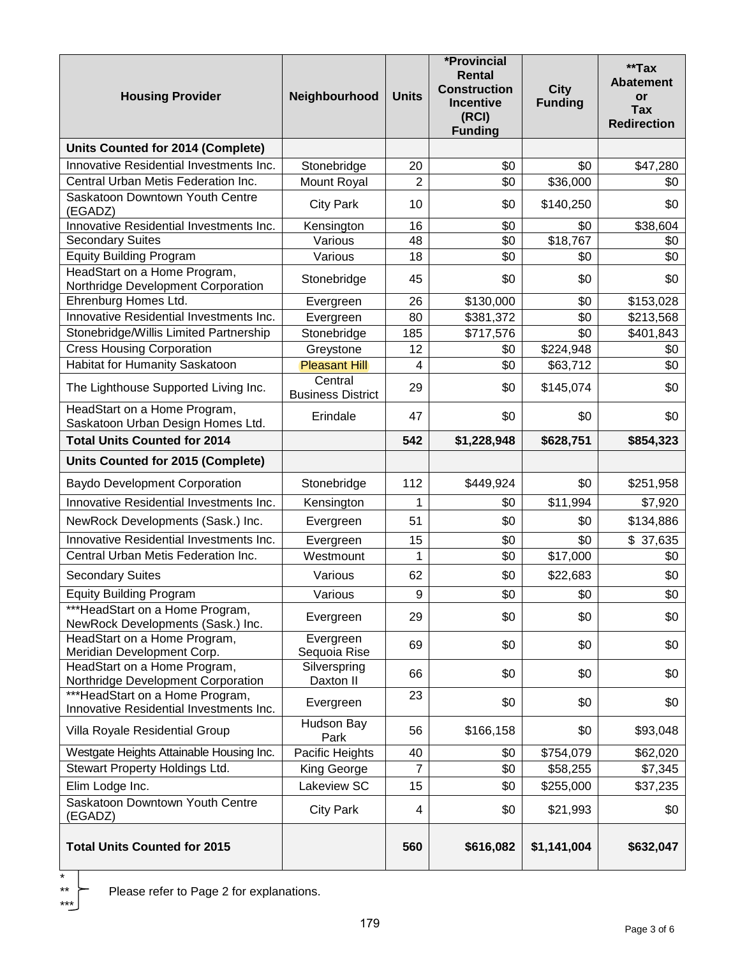| <b>Housing Provider</b>                                                    | Neighbourhood                       | <b>Units</b>   | *Provincial<br>Rental<br><b>Construction</b><br><b>Incentive</b><br>(RCI)<br><b>Funding</b> | <b>City</b><br><b>Funding</b> | **Tax<br><b>Abatement</b><br>or<br><b>Tax</b><br><b>Redirection</b> |
|----------------------------------------------------------------------------|-------------------------------------|----------------|---------------------------------------------------------------------------------------------|-------------------------------|---------------------------------------------------------------------|
| Units Counted for 2014 (Complete)                                          |                                     |                |                                                                                             |                               |                                                                     |
| Innovative Residential Investments Inc.                                    | Stonebridge                         | 20             | \$0                                                                                         | \$0                           | \$47,280                                                            |
| Central Urban Metis Federation Inc.                                        | <b>Mount Royal</b>                  | $\overline{2}$ | \$0                                                                                         | \$36,000                      | \$0                                                                 |
| Saskatoon Downtown Youth Centre<br>(EGADZ)                                 | <b>City Park</b>                    | 10             | \$0                                                                                         | \$140,250                     | \$0                                                                 |
| Innovative Residential Investments Inc.                                    | Kensington                          | 16             | \$0                                                                                         | \$0                           | \$38,604                                                            |
| <b>Secondary Suites</b>                                                    | Various                             | 48             | \$0                                                                                         | \$18,767                      | \$0                                                                 |
| <b>Equity Building Program</b>                                             | Various                             | 18             | \$0                                                                                         | \$0                           | \$0                                                                 |
| HeadStart on a Home Program,<br>Northridge Development Corporation         | Stonebridge                         | 45             | \$0                                                                                         | \$0                           | \$0                                                                 |
| Ehrenburg Homes Ltd.                                                       | Evergreen                           | 26             | \$130,000                                                                                   | \$0                           | \$153,028                                                           |
| Innovative Residential Investments Inc.                                    | Evergreen                           | 80             | \$381,372                                                                                   | \$0                           | \$213,568                                                           |
| Stonebridge/Willis Limited Partnership                                     | Stonebridge                         | 185            | \$717,576                                                                                   | \$0                           | \$401,843                                                           |
| <b>Cress Housing Corporation</b>                                           | Greystone                           | 12             | \$0                                                                                         | \$224,948                     | \$0                                                                 |
| Habitat for Humanity Saskatoon                                             | <b>Pleasant Hill</b>                | $\overline{4}$ | \$0                                                                                         | \$63,712                      | \$0                                                                 |
| The Lighthouse Supported Living Inc.                                       | Central<br><b>Business District</b> | 29             | \$0                                                                                         | \$145,074                     | \$0                                                                 |
| HeadStart on a Home Program,                                               | Erindale                            | 47             | \$0                                                                                         | \$0                           | \$0                                                                 |
| Saskatoon Urban Design Homes Ltd.                                          |                                     |                |                                                                                             |                               |                                                                     |
| <b>Total Units Counted for 2014</b>                                        |                                     | 542            | \$1,228,948                                                                                 | \$628,751                     | \$854,323                                                           |
| Units Counted for 2015 (Complete)                                          |                                     |                |                                                                                             |                               |                                                                     |
| <b>Baydo Development Corporation</b>                                       | Stonebridge                         | 112            | \$449,924                                                                                   | \$0                           | \$251,958                                                           |
| Innovative Residential Investments Inc.                                    | Kensington                          | 1              | \$0                                                                                         | \$11,994                      | \$7,920                                                             |
| NewRock Developments (Sask.) Inc.                                          | Evergreen                           | 51             | \$0                                                                                         | \$0                           | \$134,886                                                           |
| Innovative Residential Investments Inc.                                    | Evergreen                           | 15             | \$0                                                                                         | \$0                           | \$37,635                                                            |
| Central Urban Metis Federation Inc.                                        | Westmount                           | 1              | \$0                                                                                         | \$17,000                      | \$0                                                                 |
| <b>Secondary Suites</b>                                                    | Various                             | 62             | \$0                                                                                         | \$22,683                      | \$0                                                                 |
| <b>Equity Building Program</b>                                             | Various                             | 9              | \$0                                                                                         | \$0                           | \$0                                                                 |
| ***HeadStart on a Home Program,<br>NewRock Developments (Sask.) Inc.       | Evergreen                           | 29             | \$0                                                                                         | \$0                           | \$0                                                                 |
| HeadStart on a Home Program,<br>Meridian Development Corp.                 | Evergreen<br>Sequoia Rise           | 69             | \$0                                                                                         | \$0                           | \$0                                                                 |
| HeadStart on a Home Program,<br>Northridge Development Corporation         | Silverspring<br>Daxton II           | 66             | \$0                                                                                         | \$0                           | \$0                                                                 |
| ***HeadStart on a Home Program,<br>Innovative Residential Investments Inc. | Evergreen                           | 23             | \$0                                                                                         | \$0                           | \$0                                                                 |
| Villa Royale Residential Group                                             | Hudson Bay<br>Park                  | 56             | \$166,158                                                                                   | \$0                           | \$93,048                                                            |
| Westgate Heights Attainable Housing Inc.                                   | Pacific Heights                     | 40             | \$0                                                                                         | \$754,079                     | \$62,020                                                            |
| Stewart Property Holdings Ltd.                                             | King George                         | 7              | \$0                                                                                         | \$58,255                      | \$7,345                                                             |
| Elim Lodge Inc.                                                            | Lakeview SC                         | 15             | \$0                                                                                         | \$255,000                     | \$37,235                                                            |
| Saskatoon Downtown Youth Centre<br>(EGADZ)                                 | <b>City Park</b>                    | 4              | \$0                                                                                         | \$21,993                      | \$0                                                                 |
| <b>Total Units Counted for 2015</b>                                        |                                     | 560            | \$616,082                                                                                   | \$1,141,004                   | \$632,047                                                           |

Please refer to Page 2 for explanations.

\* \*\*\*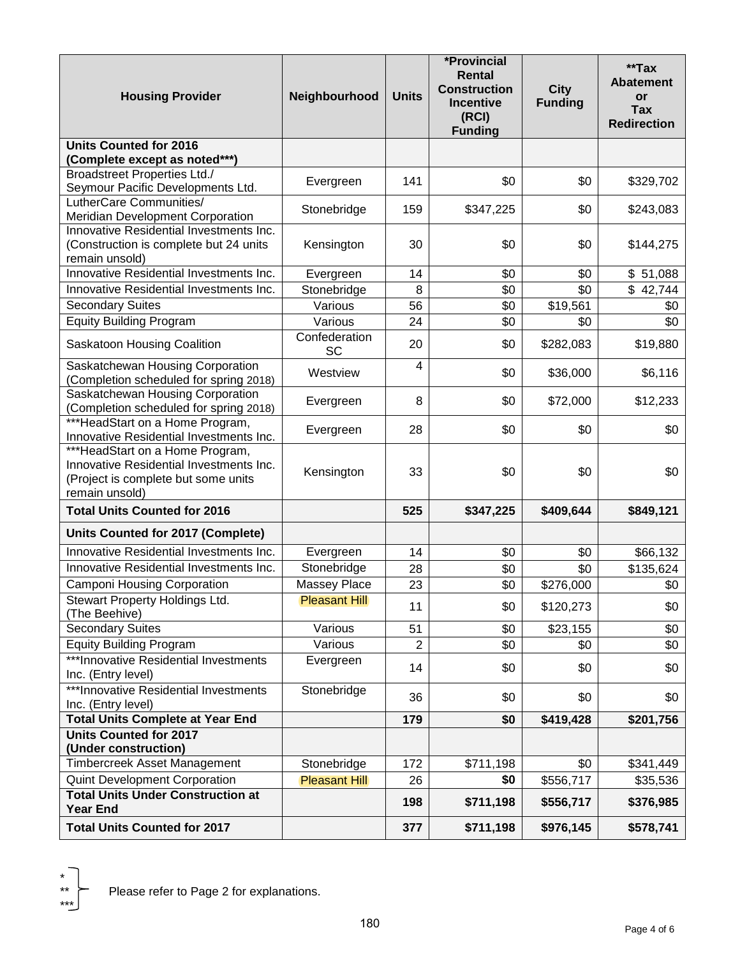| <b>Housing Provider</b>                                                                                                             | Neighbourhood              | <b>Units</b>   | *Provincial<br>Rental<br><b>Construction</b><br><b>Incentive</b><br>(RCI)<br><b>Funding</b> | <b>City</b><br><b>Funding</b> | **Tax<br><b>Abatement</b><br>or<br><b>Tax</b><br><b>Redirection</b> |
|-------------------------------------------------------------------------------------------------------------------------------------|----------------------------|----------------|---------------------------------------------------------------------------------------------|-------------------------------|---------------------------------------------------------------------|
| <b>Units Counted for 2016</b>                                                                                                       |                            |                |                                                                                             |                               |                                                                     |
| (Complete except as noted***)                                                                                                       |                            |                |                                                                                             |                               |                                                                     |
| <b>Broadstreet Properties Ltd./</b>                                                                                                 |                            |                | \$0                                                                                         | \$0                           |                                                                     |
| Seymour Pacific Developments Ltd.                                                                                                   | Evergreen                  | 141            |                                                                                             |                               | \$329,702                                                           |
| LutherCare Communities/                                                                                                             | Stonebridge                | 159            | \$347,225                                                                                   | \$0                           | \$243,083                                                           |
| <b>Meridian Development Corporation</b>                                                                                             |                            |                |                                                                                             |                               |                                                                     |
| Innovative Residential Investments Inc.                                                                                             |                            |                |                                                                                             |                               |                                                                     |
| (Construction is complete but 24 units                                                                                              | Kensington                 | 30             | \$0                                                                                         | \$0                           | \$144,275                                                           |
| remain unsold)                                                                                                                      |                            |                |                                                                                             |                               |                                                                     |
| Innovative Residential Investments Inc.                                                                                             | Evergreen                  | 14             | \$0                                                                                         | \$0                           | \$51,088                                                            |
| Innovative Residential Investments Inc.                                                                                             | Stonebridge                | 8              | \$0                                                                                         | \$0                           | \$42,744                                                            |
| <b>Secondary Suites</b>                                                                                                             | Various                    | 56             | \$0                                                                                         | \$19,561                      | \$0                                                                 |
| <b>Equity Building Program</b>                                                                                                      | Various                    | 24             | \$0                                                                                         | \$0                           | \$0                                                                 |
| Saskatoon Housing Coalition                                                                                                         | Confederation<br><b>SC</b> | 20             | \$0                                                                                         | \$282,083                     | \$19,880                                                            |
| Saskatchewan Housing Corporation<br>(Completion scheduled for spring 2018)                                                          | Westview                   | 4              | \$0                                                                                         | \$36,000                      | \$6,116                                                             |
| Saskatchewan Housing Corporation<br>(Completion scheduled for spring 2018)                                                          | Evergreen                  | 8              | \$0                                                                                         | \$72,000                      | \$12,233                                                            |
| ***HeadStart on a Home Program,<br>Innovative Residential Investments Inc.                                                          | Evergreen                  | 28             | \$0                                                                                         | \$0                           | \$0                                                                 |
| ***HeadStart on a Home Program,<br>Innovative Residential Investments Inc.<br>(Project is complete but some units<br>remain unsold) | Kensington                 | 33             | \$0                                                                                         | \$0                           | \$0                                                                 |
| <b>Total Units Counted for 2016</b>                                                                                                 |                            | 525            | \$347,225                                                                                   | \$409,644                     | \$849,121                                                           |
| Units Counted for 2017 (Complete)                                                                                                   |                            |                |                                                                                             |                               |                                                                     |
| Innovative Residential Investments Inc.                                                                                             | Evergreen                  | 14             | \$0                                                                                         | \$0                           | \$66,132                                                            |
| Innovative Residential Investments Inc.                                                                                             | Stonebridge                | 28             | \$0                                                                                         | \$0                           | \$135,624                                                           |
| Camponi Housing Corporation                                                                                                         | <b>Massey Place</b>        | 23             | \$0                                                                                         | \$276,000                     | \$0                                                                 |
| Stewart Property Holdings Ltd.<br>(The Beehive)                                                                                     | <b>Pleasant Hill</b>       | 11             | \$0                                                                                         | \$120,273                     | \$0                                                                 |
| <b>Secondary Suites</b>                                                                                                             | Various                    | 51             | \$0                                                                                         | \$23,155                      | \$0                                                                 |
| <b>Equity Building Program</b>                                                                                                      | Various                    | $\overline{2}$ | \$0                                                                                         | \$0                           | \$0                                                                 |
| ***Innovative Residential Investments<br>Inc. (Entry level)                                                                         | Evergreen                  | 14             | \$0                                                                                         | \$0                           | \$0                                                                 |
| ***Innovative Residential Investments<br>Inc. (Entry level)                                                                         | Stonebridge                | 36             | \$0                                                                                         | \$0                           | \$0                                                                 |
| <b>Total Units Complete at Year End</b>                                                                                             |                            | 179            | \$0                                                                                         | \$419,428                     | \$201,756                                                           |
| <b>Units Counted for 2017</b><br>(Under construction)                                                                               |                            |                |                                                                                             |                               |                                                                     |
| Timbercreek Asset Management                                                                                                        | Stonebridge                | 172            | \$711,198                                                                                   | \$0                           | \$341,449                                                           |
| Quint Development Corporation                                                                                                       | <b>Pleasant Hill</b>       | 26             | \$0                                                                                         | \$556,717                     | \$35,536                                                            |
| <b>Total Units Under Construction at</b><br><b>Year End</b>                                                                         |                            | 198            | \$711,198                                                                                   | \$556,717                     | \$376,985                                                           |
| <b>Total Units Counted for 2017</b>                                                                                                 |                            | 377            | \$711,198                                                                                   | \$976,145                     | \$578,741                                                           |

\* \*\*\*

Please refer to Page 2 for explanations.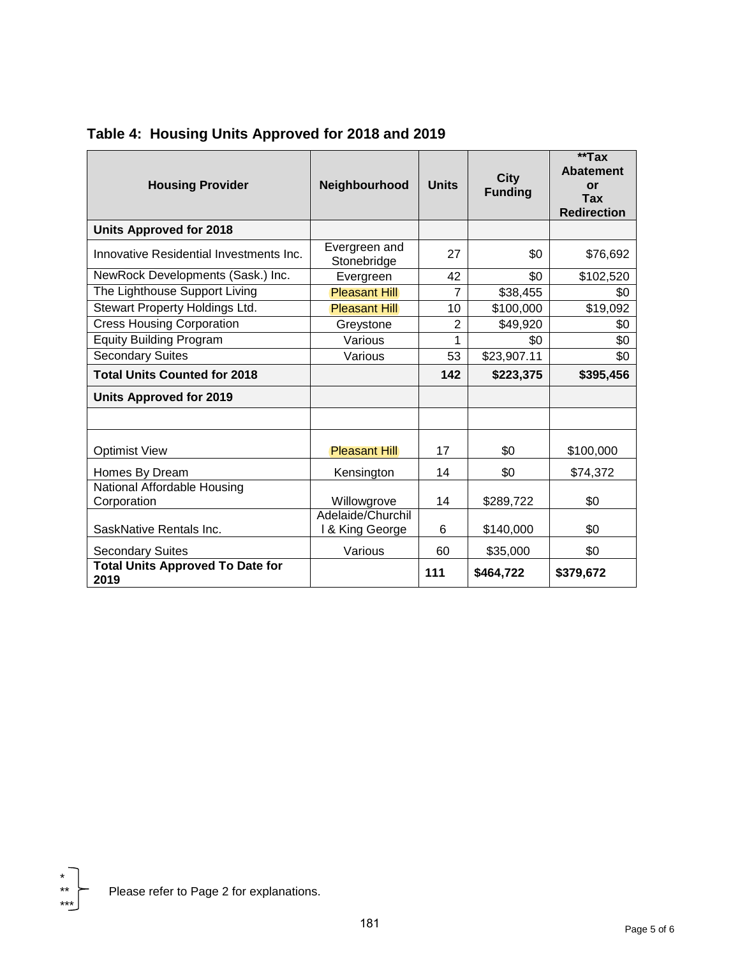| <b>Housing Provider</b>                         | Neighbourhood                        | <b>Units</b>   | <b>City</b><br><b>Funding</b> | $*$ Tax<br><b>Abatement</b><br><b>or</b><br><b>Tax</b><br><b>Redirection</b> |
|-------------------------------------------------|--------------------------------------|----------------|-------------------------------|------------------------------------------------------------------------------|
| <b>Units Approved for 2018</b>                  |                                      |                |                               |                                                                              |
| Innovative Residential Investments Inc.         | Evergreen and<br>Stonebridge         | 27             | \$0                           | \$76,692                                                                     |
| NewRock Developments (Sask.) Inc.               | Evergreen                            | 42             | \$0                           | \$102,520                                                                    |
| The Lighthouse Support Living                   | <b>Pleasant Hill</b>                 | $\overline{7}$ | \$38,455                      | \$0                                                                          |
| Stewart Property Holdings Ltd.                  | <b>Pleasant Hill</b>                 | 10             | \$100,000                     | \$19,092                                                                     |
| Cress Housing Corporation                       | Greystone                            | $\overline{2}$ | \$49,920                      | \$0                                                                          |
| <b>Equity Building Program</b>                  | Various                              | 1              | \$0                           | \$0                                                                          |
| <b>Secondary Suites</b>                         | Various                              | 53             | \$23,907.11                   | \$0                                                                          |
| <b>Total Units Counted for 2018</b>             |                                      | 142            | \$223,375                     | \$395,456                                                                    |
| <b>Units Approved for 2019</b>                  |                                      |                |                               |                                                                              |
|                                                 |                                      |                |                               |                                                                              |
| <b>Optimist View</b>                            | <b>Pleasant Hill</b>                 | 17             | \$0                           | \$100,000                                                                    |
| Homes By Dream                                  | Kensington                           | 14             | \$0                           | \$74,372                                                                     |
| National Affordable Housing<br>Corporation      | Willowgrove                          | 14             | \$289,722                     | \$0                                                                          |
| SaskNative Rentals Inc.                         | Adelaide/Churchil<br>I & King George | 6              | \$140,000                     | \$0                                                                          |
| <b>Secondary Suites</b>                         | Various                              | 60             | \$35,000                      | \$0                                                                          |
| <b>Total Units Approved To Date for</b><br>2019 |                                      | 111            | \$464,722                     | \$379,672                                                                    |

**Table 4: Housing Units Approved for 2018 and 2019**

 $*$ 

\*\*\*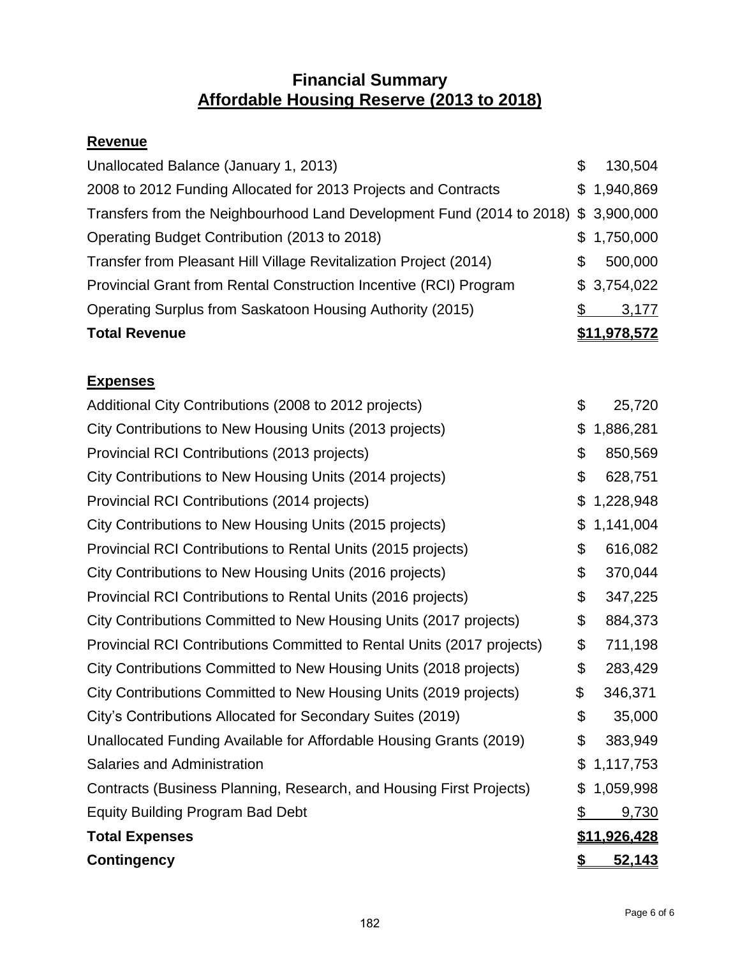# **Financial Summary Affordable Housing Reserve (2013 to 2018)**

# **Revenue**

| Unallocated Balance (January 1, 2013)                                              | \$  | 130,504      |
|------------------------------------------------------------------------------------|-----|--------------|
| 2008 to 2012 Funding Allocated for 2013 Projects and Contracts                     |     | \$1,940,869  |
| Transfers from the Neighbourhood Land Development Fund (2014 to 2018) \$ 3,900,000 |     |              |
| Operating Budget Contribution (2013 to 2018)                                       |     | \$1,750,000  |
| Transfer from Pleasant Hill Village Revitalization Project (2014)                  | \$  | 500,000      |
| Provincial Grant from Rental Construction Incentive (RCI) Program                  |     | \$3,754,022  |
| Operating Surplus from Saskatoon Housing Authority (2015)                          | \$. | 3,177        |
| <b>Total Revenue</b>                                                               |     | \$11,978,572 |

# **Expenses**

| Additional City Contributions (2008 to 2012 projects)                  | \$<br>25,720        |
|------------------------------------------------------------------------|---------------------|
| City Contributions to New Housing Units (2013 projects)                | \$<br>1,886,281     |
| Provincial RCI Contributions (2013 projects)                           | \$<br>850,569       |
| City Contributions to New Housing Units (2014 projects)                | \$<br>628,751       |
| Provincial RCI Contributions (2014 projects)                           | \$<br>1,228,948     |
| City Contributions to New Housing Units (2015 projects)                | \$<br>1,141,004     |
| Provincial RCI Contributions to Rental Units (2015 projects)           | \$<br>616,082       |
| City Contributions to New Housing Units (2016 projects)                | \$<br>370,044       |
| Provincial RCI Contributions to Rental Units (2016 projects)           | \$<br>347,225       |
| City Contributions Committed to New Housing Units (2017 projects)      | \$<br>884,373       |
| Provincial RCI Contributions Committed to Rental Units (2017 projects) | \$<br>711,198       |
| City Contributions Committed to New Housing Units (2018 projects)      | \$<br>283,429       |
| City Contributions Committed to New Housing Units (2019 projects)      | \$<br>346,371       |
| City's Contributions Allocated for Secondary Suites (2019)             | \$<br>35,000        |
| Unallocated Funding Available for Affordable Housing Grants (2019)     | \$<br>383,949       |
| Salaries and Administration                                            | \$<br>1,117,753     |
| Contracts (Business Planning, Research, and Housing First Projects)    | \$<br>1,059,998     |
| <b>Equity Building Program Bad Debt</b>                                | \$<br>9,730         |
| <b>Total Expenses</b>                                                  | \$11,926,428        |
| <b>Contingency</b>                                                     | \$<br><u>52,143</u> |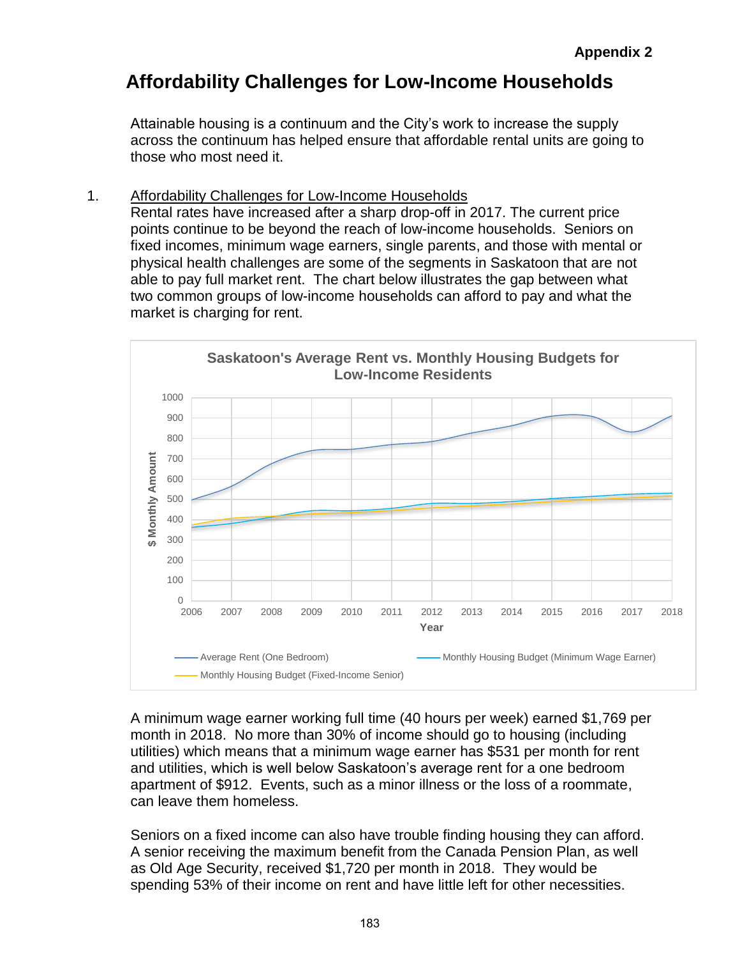# **Affordability Challenges for Low-Income Households**

Attainable housing is a continuum and the City's work to increase the supply across the continuum has helped ensure that affordable rental units are going to those who most need it.

### 1. Affordability Challenges for Low-Income Households

Rental rates have increased after a sharp drop-off in 2017. The current price points continue to be beyond the reach of low-income households. Seniors on fixed incomes, minimum wage earners, single parents, and those with mental or physical health challenges are some of the segments in Saskatoon that are not able to pay full market rent. The chart below illustrates the gap between what two common groups of low-income households can afford to pay and what the market is charging for rent.



A minimum wage earner working full time (40 hours per week) earned \$1,769 per month in 2018. No more than 30% of income should go to housing (including utilities) which means that a minimum wage earner has \$531 per month for rent and utilities, which is well below Saskatoon's average rent for a one bedroom apartment of \$912. Events, such as a minor illness or the loss of a roommate, can leave them homeless.

Seniors on a fixed income can also have trouble finding housing they can afford. A senior receiving the maximum benefit from the Canada Pension Plan, as well as Old Age Security, received \$1,720 per month in 2018. They would be spending 53% of their income on rent and have little left for other necessities.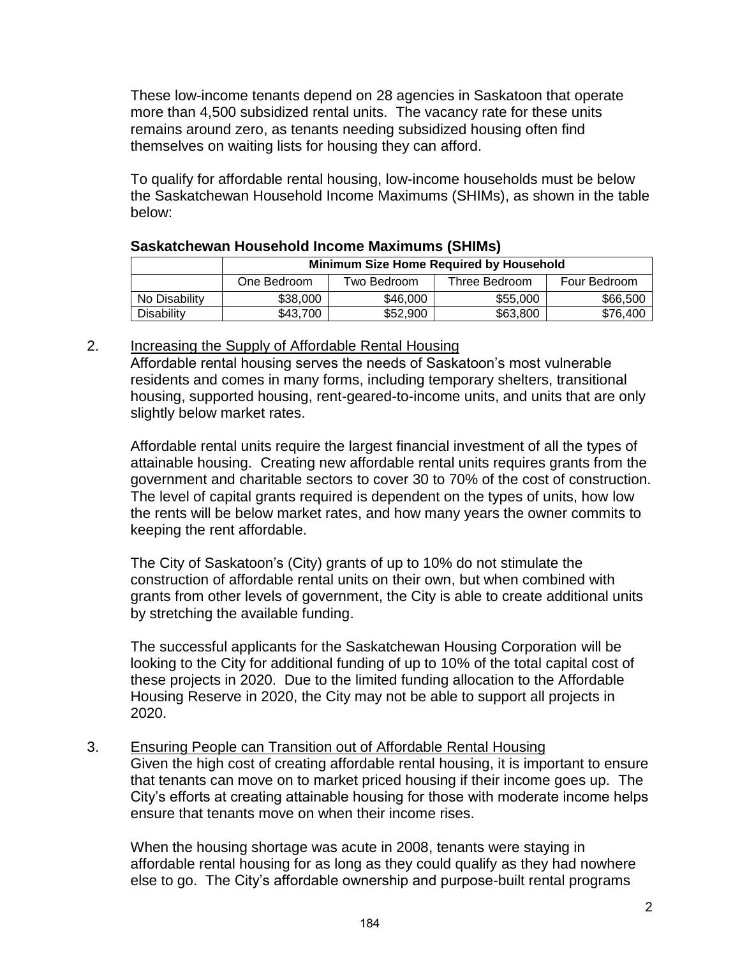These low-income tenants depend on 28 agencies in Saskatoon that operate more than 4,500 subsidized rental units. The vacancy rate for these units remains around zero, as tenants needing subsidized housing often find themselves on waiting lists for housing they can afford.

To qualify for affordable rental housing, low-income households must be below the Saskatchewan Household Income Maximums (SHIMs), as shown in the table below:

|               | <b>Minimum Size Home Required by Household</b> |             |               |              |  |  |  |  |
|---------------|------------------------------------------------|-------------|---------------|--------------|--|--|--|--|
|               | One Bedroom                                    | Two Bedroom | Three Bedroom | Four Bedroom |  |  |  |  |
| No Disability | \$38,000                                       | \$46,000    | \$55,000      | \$66,500     |  |  |  |  |
| Disability    | \$43,700                                       | \$52,900    | \$63,800      | \$76,400     |  |  |  |  |

#### **Saskatchewan Household Income Maximums (SHIMs)**

#### 2. Increasing the Supply of Affordable Rental Housing

Affordable rental housing serves the needs of Saskatoon's most vulnerable residents and comes in many forms, including temporary shelters, transitional housing, supported housing, rent-geared-to-income units, and units that are only slightly below market rates.

Affordable rental units require the largest financial investment of all the types of attainable housing. Creating new affordable rental units requires grants from the government and charitable sectors to cover 30 to 70% of the cost of construction. The level of capital grants required is dependent on the types of units, how low the rents will be below market rates, and how many years the owner commits to keeping the rent affordable.

The City of Saskatoon's (City) grants of up to 10% do not stimulate the construction of affordable rental units on their own, but when combined with grants from other levels of government, the City is able to create additional units by stretching the available funding.

The successful applicants for the Saskatchewan Housing Corporation will be looking to the City for additional funding of up to 10% of the total capital cost of these projects in 2020. Due to the limited funding allocation to the Affordable Housing Reserve in 2020, the City may not be able to support all projects in 2020.

#### 3. Ensuring People can Transition out of Affordable Rental Housing

Given the high cost of creating affordable rental housing, it is important to ensure that tenants can move on to market priced housing if their income goes up. The City's efforts at creating attainable housing for those with moderate income helps ensure that tenants move on when their income rises.

When the housing shortage was acute in 2008, tenants were staying in affordable rental housing for as long as they could qualify as they had nowhere else to go. The City's affordable ownership and purpose-built rental programs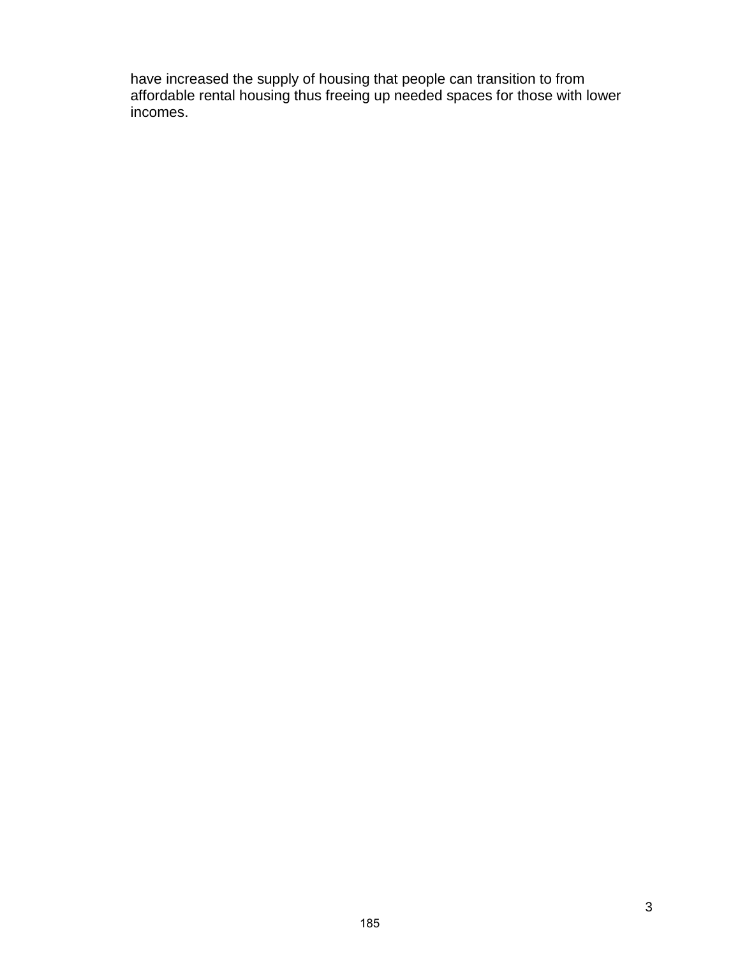have increased the supply of housing that people can transition to from affordable rental housing thus freeing up needed spaces for those with lower incomes.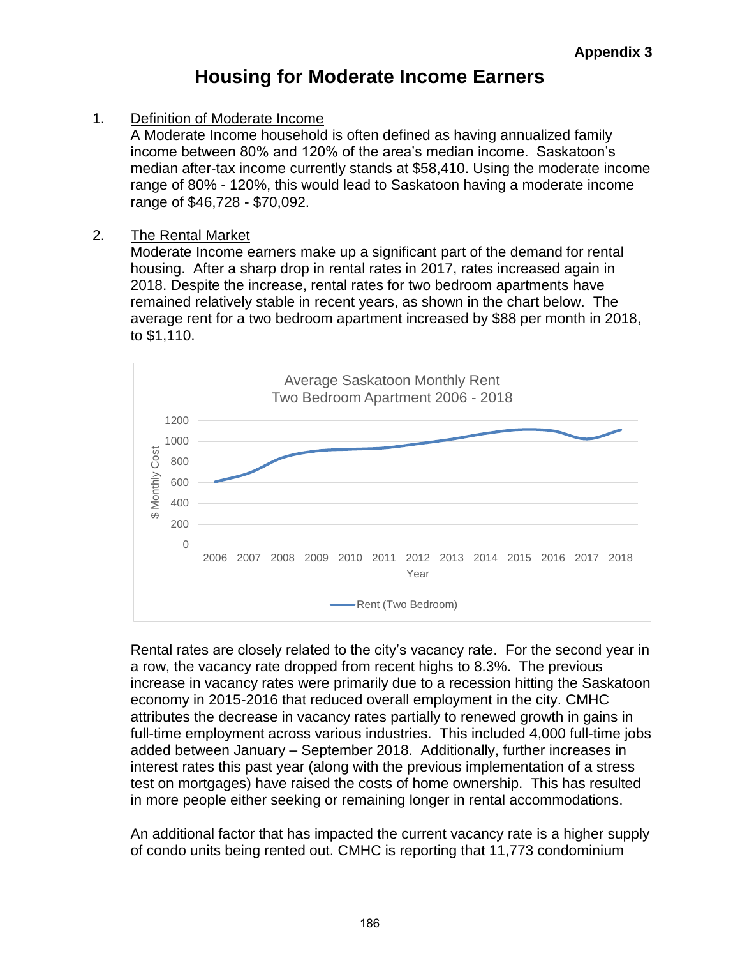# **Housing for Moderate Income Earners**

1. Definition of Moderate Income

A Moderate Income household is often defined as having annualized family income between 80% and 120% of the area's median income. Saskatoon's median after-tax income currently stands at \$58,410. Using the moderate income range of 80% - 120%, this would lead to Saskatoon having a moderate income range of \$46,728 - \$70,092.

#### 2. The Rental Market

Moderate Income earners make up a significant part of the demand for rental housing. After a sharp drop in rental rates in 2017, rates increased again in 2018. Despite the increase, rental rates for two bedroom apartments have remained relatively stable in recent years, as shown in the chart below. The average rent for a two bedroom apartment increased by \$88 per month in 2018, to \$1,110.



Rental rates are closely related to the city's vacancy rate. For the second year in a row, the vacancy rate dropped from recent highs to 8.3%. The previous increase in vacancy rates were primarily due to a recession hitting the Saskatoon economy in 2015-2016 that reduced overall employment in the city. CMHC attributes the decrease in vacancy rates partially to renewed growth in gains in full-time employment across various industries. This included 4,000 full-time jobs added between January – September 2018. Additionally, further increases in interest rates this past year (along with the previous implementation of a stress test on mortgages) have raised the costs of home ownership. This has resulted in more people either seeking or remaining longer in rental accommodations.

An additional factor that has impacted the current vacancy rate is a higher supply of condo units being rented out. CMHC is reporting that 11,773 condominium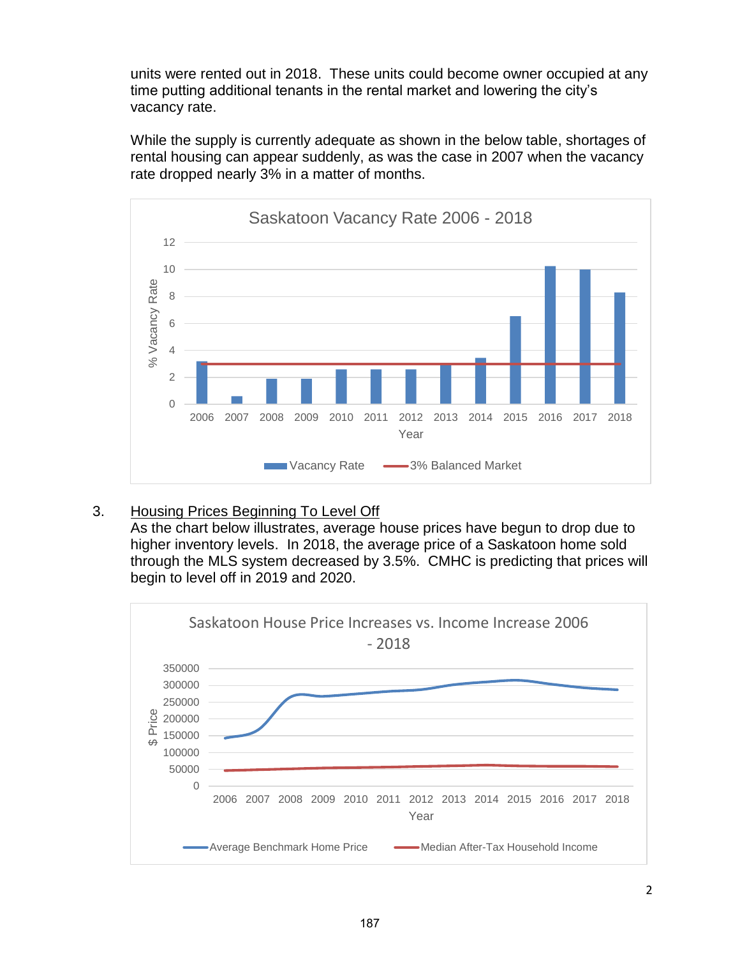units were rented out in 2018. These units could become owner occupied at any time putting additional tenants in the rental market and lowering the city's vacancy rate.

While the supply is currently adequate as shown in the below table, shortages of rental housing can appear suddenly, as was the case in 2007 when the vacancy rate dropped nearly 3% in a matter of months.



# 3. Housing Prices Beginning To Level Off

As the chart below illustrates, average house prices have begun to drop due to higher inventory levels. In 2018, the average price of a Saskatoon home sold through the MLS system decreased by 3.5%. CMHC is predicting that prices will begin to level off in 2019 and 2020.

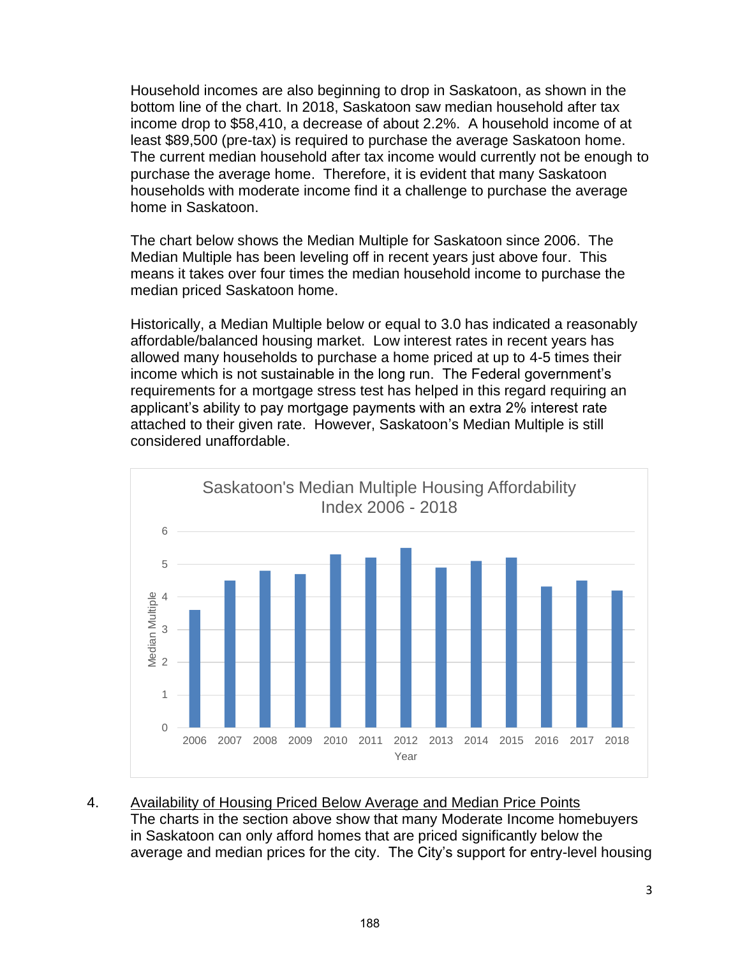Household incomes are also beginning to drop in Saskatoon, as shown in the bottom line of the chart. In 2018, Saskatoon saw median household after tax income drop to \$58,410, a decrease of about 2.2%. A household income of at least \$89,500 (pre-tax) is required to purchase the average Saskatoon home. The current median household after tax income would currently not be enough to purchase the average home. Therefore, it is evident that many Saskatoon households with moderate income find it a challenge to purchase the average home in Saskatoon.

The chart below shows the Median Multiple for Saskatoon since 2006. The Median Multiple has been leveling off in recent years just above four. This means it takes over four times the median household income to purchase the median priced Saskatoon home.

Historically, a Median Multiple below or equal to 3.0 has indicated a reasonably affordable/balanced housing market. Low interest rates in recent years has allowed many households to purchase a home priced at up to 4-5 times their income which is not sustainable in the long run. The Federal government's requirements for a mortgage stress test has helped in this regard requiring an applicant's ability to pay mortgage payments with an extra 2% interest rate attached to their given rate. However, Saskatoon's Median Multiple is still considered unaffordable.



4. Availability of Housing Priced Below Average and Median Price Points The charts in the section above show that many Moderate Income homebuyers in Saskatoon can only afford homes that are priced significantly below the average and median prices for the city. The City's support for entry-level housing